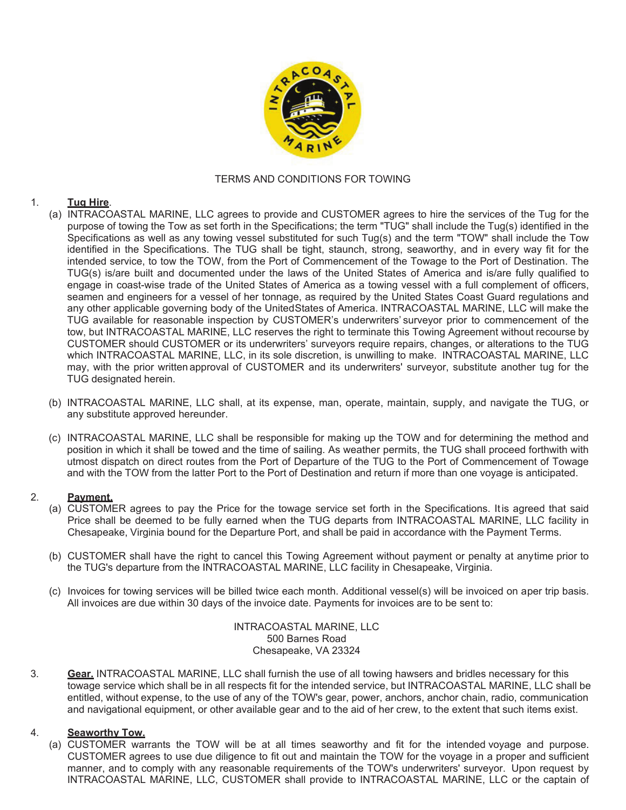

### TERMS AND CONDITIONS FOR TOWING

### 1. **Tug Hire**.

- (a) INTRACOASTAL MARINE, LLC agrees to provide and CUSTOMER agrees to hire the services of the Tug for the purpose of towing the Tow as set forth in the Specifications; the term "TUG" shall include the Tug(s) identified in the Specifications as well as any towing vessel substituted for such Tug(s) and the term "TOW" shall include the Tow identified in the Specifications. The TUG shall be tight, staunch, strong, seaworthy, and in every way fit for the intended service, to tow the TOW, from the Port of Commencement of the Towage to the Port of Destination. The TUG(s) is/are built and documented under the laws of the United States of America and is/are fully qualified to engage in coast-wise trade of the United States of America as a towing vessel with a full complement of officers, seamen and engineers for a vessel of her tonnage, as required by the United States Coast Guard regulations and any other applicable governing body of the United States of America. INTRACOASTAL MARINE, LLC will make the TUG available for reasonable inspection by CUSTOMER's underwriters' surveyor prior to commencement of the tow, but INTRACOASTAL MARINE, LLC reserves the right to terminate this Towing Agreement without recourse by CUSTOMER should CUSTOMER or its underwriters' surveyors require repairs, changes, or alterations to the TUG which INTRACOASTAL MARINE, LLC, in its sole discretion, is unwilling to make. INTRACOASTAL MARINE, LLC may, with the prior written approval of CUSTOMER and its underwriters' surveyor, substitute another tug for the TUG designated herein.
- (b) INTRACOASTAL MARINE, LLC shall, at its expense, man, operate, maintain, supply, and navigate the TUG, or any substitute approved hereunder.
- (c) INTRACOASTAL MARINE, LLC shall be responsible for making up the TOW and for determining the method and position in which it shall be towed and the time of sailing. As weather permits, the TUG shall proceed forthwith with utmost dispatch on direct routes from the Port of Departure of the TUG to the Port of Commencement of Towage and with the TOW from the latter Port to the Port of Destination and return if more than one voyage is anticipated.

#### 2. **Payment.**

- (a) CUSTOMER agrees to pay the Price for the towage service set forth in the Specifications. It is agreed that said Price shall be deemed to be fully earned when the TUG departs from INTRACOASTAL MARINE, LLC facility in Chesapeake, Virginia bound for the Departure Port, and shall be paid in accordance with the Payment Terms.
- (b) CUSTOMER shall have the right to cancel this Towing Agreement without payment or penalty at any time prior to the TUG's departure from the INTRACOASTAL MARINE, LLC facility in Chesapeake, Virginia.
- (c) Invoices for towing services will be billed twice each month. Additional vessel(s) will be invoiced on a per trip basis. All invoices are due within 30 days of the invoice date. Payments for invoices are to be sent to:

 INTRACOASTAL MARINE, LLC 500 Barnes Road Chesapeake, VA 23324

3. **Gear.** INTRACOASTAL MARINE, LLC shall furnish the use of all towing hawsers and bridles necessary for this towage service which shall be in all respects fit for the intended service, but INTRACOASTAL MARINE, LLC shall be entitled, without expense, to the use of any of the TOW's gear, power, anchors, anchor chain, radio, communication and navigational equipment, or other available gear and to the aid of her crew, to the extent that such items exist.

## 4. **Seaworthy Tow.**

(a) CUSTOMER warrants the TOW will be at all times seaworthy and fit for the intended voyage and purpose. CUSTOMER agrees to use due diligence to fit out and maintain the TOW for the voyage in a proper and sufficient manner, and to comply with any reasonable requirements of the TOW's underwriters' surveyor. Upon request by INTRACOASTAL MARINE, LLC, CUSTOMER shall provide to INTRACOASTAL MARINE, LLC or the captain of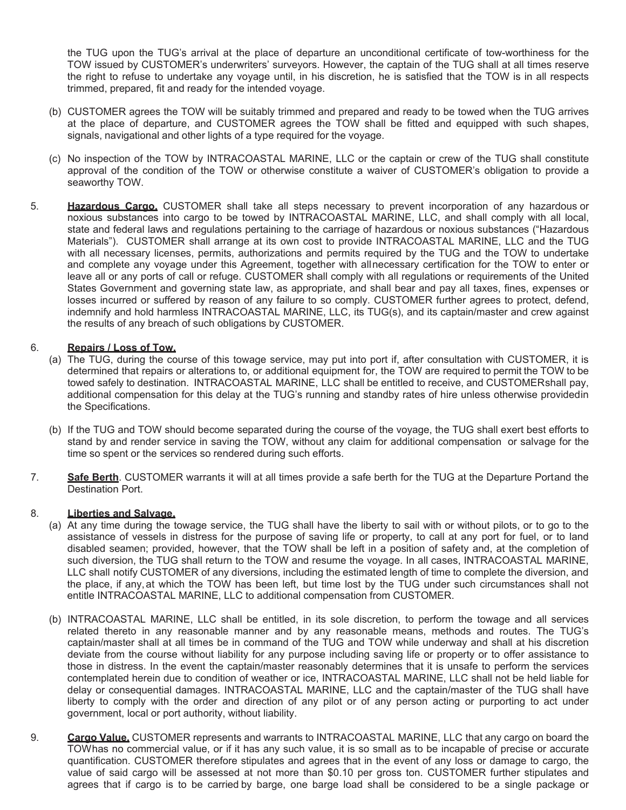the TUG upon the TUG's arrival at the place of departure an unconditional certificate of tow-worthiness for the TOW issued by CUSTOMER's underwriters' surveyors. However, the captain of the TUG shall at all times reserve the right to refuse to undertake any voyage until, in his discretion, he is satisfied that the TOW is in all respects trimmed, prepared, fit and ready for the intended voyage.

- (b) CUSTOMER agrees the TOW will be suitably trimmed and prepared and ready to be towed when the TUG arrives at the place of departure, and CUSTOMER agrees the TOW shall be fitted and equipped with such shapes, signals, navigational and other lights of a type required for the voyage.
- (c) No inspection of the TOW by INTRACOASTAL MARINE, LLC or the captain or crew of the TUG shall constitute approval of the condition of the TOW or otherwise constitute a waiver of CUSTOMER's obligation to provide a seaworthy TOW.
- 5. **Hazardous Cargo.** CUSTOMER shall take all steps necessary to prevent incorporation of any hazardous or noxious substances into cargo to be towed by INTRACOASTAL MARINE, LLC, and shall comply with all local, state and federal laws and regulations pertaining to the carriage of hazardous or noxious substances ("Hazardous Materials"). CUSTOMER shall arrange at its own cost to provide INTRACOASTAL MARINE, LLC and the TUG with all necessary licenses, permits, authorizations and permits required by the TUG and the TOW to undertake and complete any voyage under this Agreement, together with all necessary certification for the TOW to enter or leave all or any ports of call or refuge. CUSTOMER shall comply with all regulations or requirements of the United States Government and governing state law, as appropriate, and shall bear and pay all taxes, fines, expenses or losses incurred or suffered by reason of any failure to so comply. CUSTOMER further agrees to protect, defend, indemnify and hold harmless INTRACOASTAL MARINE, LLC, its TUG(s), and its captain/master and crew against the results of any breach of such obligations by CUSTOMER.

### 6. **Repairs / Loss of Tow.**

- (a) The TUG, during the course of this towage service, may put into port if, after consultation with CUSTOMER, it is determined that repairs or alterations to, or additional equipment for, the TOW are required to permit the TOW to be towed safely to destination. INTRACOASTAL MARINE, LLC shall be entitled to receive, and CUSTOMER shall pay, additional compensation for this delay at the TUG's running and standby rates of hire unless otherwise provided in the Specifications.
- (b) If the TUG and TOW should become separated during the course of the voyage, the TUG shall exert best efforts to stand by and render service in saving the TOW, without any claim for additional compensation or salvage for the time so spent or the services so rendered during such efforts.
- 7. **Safe Berth**. CUSTOMER warrants it will at all times provide a safe berth for the TUG at the Departure Port and the Destination Port.

#### 8. **Liberties and Salvage.**

- (a) At any time during the towage service, the TUG shall have the liberty to sail with or without pilots, or to go to the assistance of vessels in distress for the purpose of saving life or property, to call at any port for fuel, or to land disabled seamen; provided, however, that the TOW shall be left in a position of safety and, at the completion of such diversion, the TUG shall return to the TOW and resume the voyage. In all cases, INTRACOASTAL MARINE, LLC shall notify CUSTOMER of any diversions, including the estimated length of time to complete the diversion, and the place, if any, at which the TOW has been left, but time lost by the TUG under such circumstances shall not entitle INTRACOASTAL MARINE, LLC to additional compensation from CUSTOMER.
- (b) INTRACOASTAL MARINE, LLC shall be entitled, in its sole discretion, to perform the towage and all services related thereto in any reasonable manner and by any reasonable means, methods and routes. The TUG's captain/master shall at all times be in command of the TUG and TOW while underway and shall at his discretion deviate from the course without liability for any purpose including saving life or property or to offer assistance to those in distress. In the event the captain/master reasonably determines that it is unsafe to perform the services contemplated herein due to condition of weather or ice, INTRACOASTAL MARINE, LLC shall not be held liable for delay or consequential damages. INTRACOASTAL MARINE, LLC and the captain/master of the TUG shall have liberty to comply with the order and direction of any pilot or of any person acting or purporting to act under government, local or port authority, without liability.
- 9. **Cargo Value.** CUSTOMER represents and warrants to INTRACOASTAL MARINE, LLC that any cargo on board the TOW has no commercial value, or if it has any such value, it is so small as to be incapable of precise or accurate quantification. CUSTOMER therefore stipulates and agrees that in the event of any loss or damage to cargo, the value of said cargo will be assessed at not more than \$0.10 per gross ton. CUSTOMER further stipulates and agrees that if cargo is to be carried by barge, one barge load shall be considered to be a single package or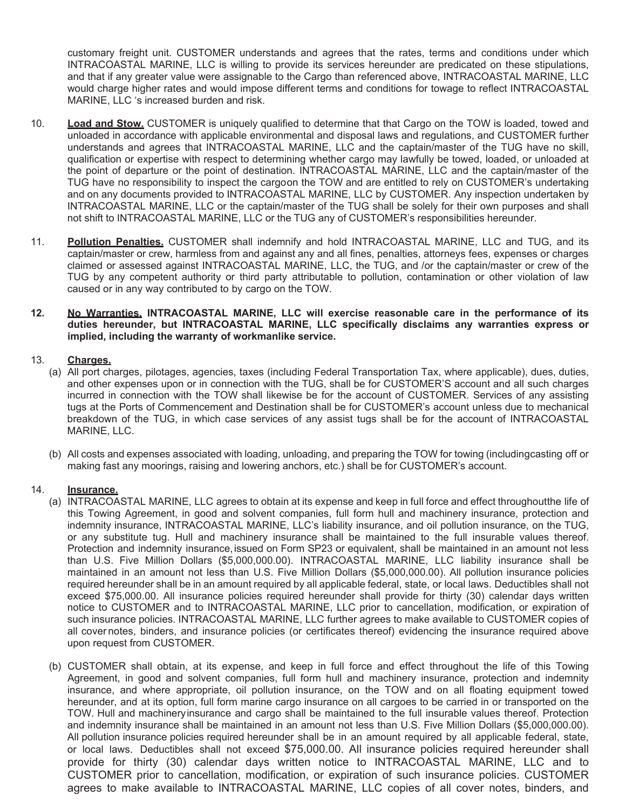customary freight unit. CUSTOMER understands and agrees that the rates, terms and conditions under which INTRACOASTAL MARINE, LLC is willing to provide its services hereunder are predicated on these stipulations, and that if any greater value were assignable to the Cargo than referenced above, INTRACOASTAL MARINE, LLC would charge higher rates and would impose different terms and conditions for towage to reflect INTRACOASTAL MARINE, LLC 's increased burden and risk.

- 10. **Load and Stow.** CUSTOMER is uniquely qualified to determine that that Cargo on the TOW is loaded, towed and unloaded in accordance with applicable environmental and disposal laws and regulations, and CUSTOMER further understands and agrees that INTRACOASTAL MARINE, LLC and the captain/master of the TUG have no skill, qualification or expertise with respect to determining whether cargo may lawfully be towed, loaded, or unloaded at the point of departure or the point of destination. INTRACOASTAL MARINE, LLC and the captain/master of the TUG have no responsibility to inspect the cargoon the TOW and are entitled to rely on CUSTOMER's undertaking and on any documents provided to INTRACOASTAL MARINE, LLC by CUSTOMER. Any inspection undertaken by INTRACOASTAL MARINE, LLC or the captain/master of the TUG shall be solely for their own purposes and shall not shift to INTRACOASTAL MARINE, LLC or the TUG any of CUSTOMER's responsibilities hereunder.
- 11. **Pollution Penalties.** CUSTOMER shall indemnify and hold INTRACOASTAL MARINE, LLC and TUG, and its captain/master or crew, harmless from and against any and all fines, penalties, attorneys fees, expenses or charges claimed or assessed against INTRACOASTAL MARINE, LLC, the TUG, and /or the captain/master or crew of the TUG by any competent authority or third party attributable to pollution, contamination or other violation of law caused or in any way contributed to by cargo on the TOW.
- **12. No Warranties. INTRACOASTAL MARINE, LLC will exercise reasonable care in the performance of its duties hereunder, but INTRACOASTAL MARINE, LLC specifically disclaims any warranties express or implied, including the warranty of workmanlike service.**

# 13. **Charges.**

- (a) All port charges, pilotages, agencies, taxes (including Federal Transportation Tax, where applicable), dues, duties, and other expenses upon or in connection with the TUG, shall be for CUSTOMER'S account and all such charges incurred in connection with the TOW shall likewise be for the account of CUSTOMER. Services of any assisting tugs at the Ports of Commencement and Destination shall be for CUSTOMER's account unless due to mechanical breakdown of the TUG, in which case services of any assist tugs shall be for the account of INTRACOASTAL MARINE, LLC.
- (b) All costs and expenses associated with loading, unloading, and preparing the TOW for towing (including casting off or making fast any moorings, raising and lowering anchors, etc.) shall be for CUSTOMER's account.

## 14. **Insurance.**

- (a) INTRACOASTAL MARINE, LLC agrees to obtain at its expense and keep in full force and effect throughout the life of this Towing Agreement, in good and solvent companies, full form hull and machinery insurance, protection and indemnity insurance, INTRACOASTAL MARINE, LLC's liability insurance, and oil pollution insurance, on the TUG, or any substitute tug. Hull and machinery insurance shall be maintained to the full insurable values thereof. Protection and indemnity insurance, issued on Form SP23 or equivalent, shall be maintained in an amount not less than U.S. Five Million Dollars (\$5,000,000.00). INTRACOASTAL MARINE, LLC liability insurance shall be maintained in an amount not less than U.S. Five Million Dollars (\$5,000,000.00). All pollution insurance policies required hereunder shall be in an amount required by all applicable federal, state, or local laws. Deductibles shall not exceed \$75,000.00. All insurance policies required hereunder shall provide for thirty (30) calendar days written notice to CUSTOMER and to INTRACOASTAL MARINE, LLC prior to cancellation, modification, or expiration of such insurance policies. INTRACOASTAL MARINE, LLC further agrees to make available to CUSTOMER copies of all cover notes, binders, and insurance policies (or certificates thereof) evidencing the insurance required above upon request from CUSTOMER.
- (b) CUSTOMER shall obtain, at its expense, and keep in full force and effect throughout the life of this Towing Agreement, in good and solvent companies, full form hull and machinery insurance, protection and indemnity insurance, and where appropriate, oil pollution insurance, on the TOW and on all floating equipment towed hereunder, and at its option, full form marine cargo insurance on all cargoes to be carried in or transported on the TOW. Hull and machinery insurance and cargo shall be maintained to the full insurable values thereof. Protection and indemnity insurance shall be maintained in an amount not less than U.S. Five Million Dollars (\$5,000,000.00). All pollution insurance policies required hereunder shall be in an amount required by all applicable federal, state, or local laws. Deductibles shall not exceed \$75,000.00. All insurance policies required hereunder shall provide for thirty (30) calendar days written notice to INTRACOASTAL MARINE, LLC and to CUSTOMER prior to cancellation, modification, or expiration of such insurance policies. CUSTOMER agrees to make available to INTRACOASTAL MARINE, LLC copies of all cover notes, binders, and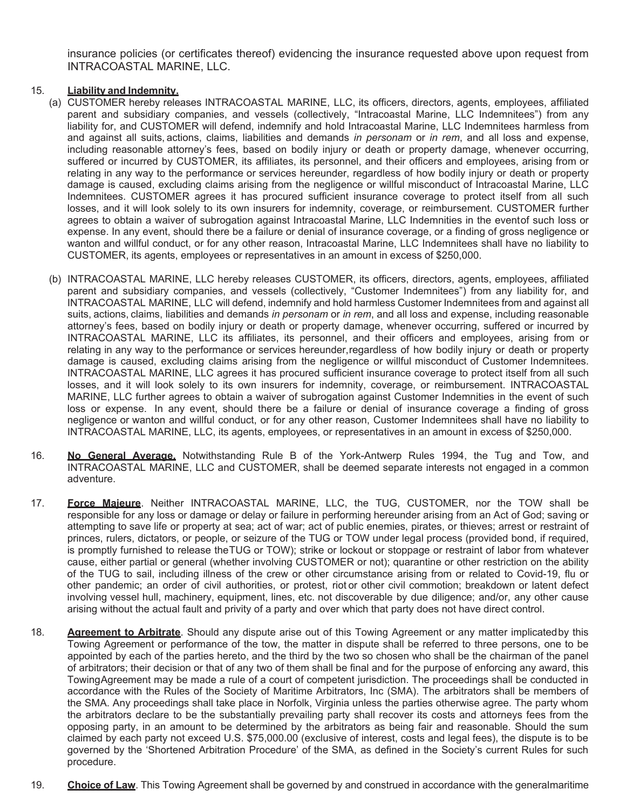insurance policies (or certificates thereof) evidencing the insurance requested above upon request from INTRACOASTAL MARINE, LLC.

# 15. **Liability and Indemnity.**

- (a) CUSTOMER hereby releases INTRACOASTAL MARINE, LLC, its officers, directors, agents, employees, affiliated parent and subsidiary companies, and vessels (collectively, "Intracoastal Marine, LLC Indemnitees") from any liability for, and CUSTOMER will defend, indemnify and hold Intracoastal Marine, LLC Indemnitees harmless from and against all suits, actions, claims, liabilities and demands *in personam* or *in rem*, and all loss and expense, including reasonable attorney's fees, based on bodily injury or death or property damage, whenever occurring, suffered or incurred by CUSTOMER, its affiliates, its personnel, and their officers and employees, arising from or relating in any way to the performance or services hereunder, regardless of how bodily injury or death or property damage is caused, excluding claims arising from the negligence or willful misconduct of Intracoastal Marine, LLC Indemnitees. CUSTOMER agrees it has procured sufficient insurance coverage to protect itself from all such losses, and it will look solely to its own insurers for indemnity, coverage, or reimbursement. CUSTOMER further agrees to obtain a waiver of subrogation against Intracoastal Marine, LLC Indemnities in the event of such loss or expense. In any event, should there be a failure or denial of insurance coverage, or a finding of gross negligence or wanton and willful conduct, or for any other reason, Intracoastal Marine, LLC Indemnitees shall have no liability to CUSTOMER, its agents, employees or representatives in an amount in excess of \$250,000.
- (b) INTRACOASTAL MARINE, LLC hereby releases CUSTOMER, its officers, directors, agents, employees, affiliated parent and subsidiary companies, and vessels (collectively, "Customer Indemnitees") from any liability for, and INTRACOASTAL MARINE, LLC will defend, indemnify and hold harmless Customer Indemnitees from and against all suits, actions, claims, liabilities and demands *in personam* or *in rem*, and all loss and expense, including reasonable attorney's fees, based on bodily injury or death or property damage, whenever occurring, suffered or incurred by INTRACOASTAL MARINE, LLC its affiliates, its personnel, and their officers and employees, arising from or relating in any way to the performance or services hereunder, regardless of how bodily injury or death or property damage is caused, excluding claims arising from the negligence or willful misconduct of Customer Indemnitees. INTRACOASTAL MARINE, LLC agrees it has procured sufficient insurance coverage to protect itself from all such losses, and it will look solely to its own insurers for indemnity, coverage, or reimbursement. INTRACOASTAL MARINE, LLC further agrees to obtain a waiver of subrogation against Customer Indemnities in the event of such loss or expense. In any event, should there be a failure or denial of insurance coverage a finding of gross negligence or wanton and willful conduct, or for any other reason, Customer Indemnitees shall have no liability to INTRACOASTAL MARINE, LLC, its agents, employees, or representatives in an amount in excess of \$250,000.
- 16. **No General Average.** Notwithstanding Rule B of the York-Antwerp Rules 1994, the Tug and Tow, and INTRACOASTAL MARINE, LLC and CUSTOMER, shall be deemed separate interests not engaged in a common adventure.
- 17. **Force Majeure**. Neither INTRACOASTAL MARINE, LLC, the TUG, CUSTOMER, nor the TOW shall be responsible for any loss or damage or delay or failure in performing hereunder arising from an Act of God; saving or attempting to save life or property at sea; act of war; act of public enemies, pirates, or thieves; arrest or restraint of princes, rulers, dictators, or people, or seizure of the TUG or TOW under legal process (provided bond, if required, is promptly furnished to release the TUG or TOW); strike or lockout or stoppage or restraint of labor from whatever cause, either partial or general (whether involving CUSTOMER or not); quarantine or other restriction on the ability of the TUG to sail, including illness of the crew or other circumstance arising from or related to Covid-19, flu or other pandemic; an order of civil authorities, or protest, riot or other civil commotion; breakdown or latent defect involving vessel hull, machinery, equipment, lines, etc. not discoverable by due diligence; and/or, any other cause arising without the actual fault and privity of a party and over which that party does not have direct control.
- 18. **Agreement to Arbitrate**. Should any dispute arise out of this Towing Agreement or any matter implicated by this Towing Agreement or performance of the tow, the matter in dispute shall be referred to three persons, one to be appointed by each of the parties hereto, and the third by the two so chosen who shall be the chairman of the panel of arbitrators; their decision or that of any two of them shall be final and for the purpose of enforcing any award, this Towing Agreement may be made a rule of a court of competent jurisdiction. The proceedings shall be conducted in accordance with the Rules of the Society of Maritime Arbitrators, Inc (SMA). The arbitrators shall be members of the SMA. Any proceedings shall take place in Norfolk, Virginia unless the parties otherwise agree. The party whom the arbitrators declare to be the substantially prevailing party shall recover its costs and attorneys fees from the opposing party, in an amount to be determined by the arbitrators as being fair and reasonable. Should the sum claimed by each party not exceed U.S. \$75,000.00 (exclusive of interest, costs and legal fees), the dispute is to be governed by the 'Shortened Arbitration Procedure' of the SMA, as defined in the Society's current Rules for such procedure.
- 19. **Choice of Law**. This Towing Agreement shall be governed by and construed in accordance with the general maritime